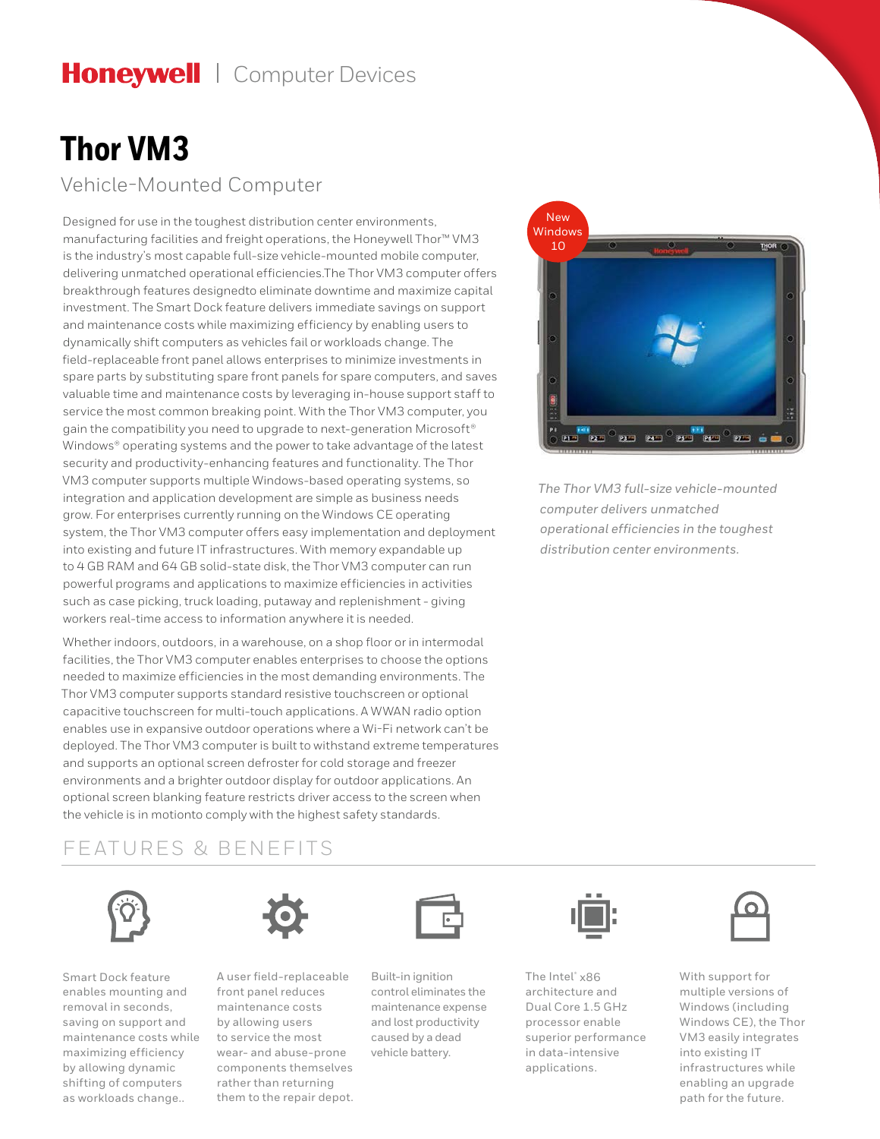# Honeywell | Computer Devices

## **Thor VM3** Vehicle-Mounted Computer

Designed for use in the toughest distribution center environments, manufacturing facilities and freight operations, the Honeywell Thor™ VM3 is the industry's most capable full-size vehicle-mounted mobile computer, delivering unmatched operational efficiencies.The Thor VM3 computer offers breakthrough features designedto eliminate downtime and maximize capital investment. The Smart Dock feature delivers immediate savings on support and maintenance costs while maximizing efficiency by enabling users to dynamically shift computers as vehicles fail or workloads change. The field-replaceable front panel allows enterprises to minimize investments in spare parts by substituting spare front panels for spare computers, and saves valuable time and maintenance costs by leveraging in-house support staff to service the most common breaking point. With the Thor VM3 computer, you gain the compatibility you need to upgrade to next-generation Microsoft® Windows® operating systems and the power to take advantage of the latest security and productivity-enhancing features and functionality. The Thor VM3 computer supports multiple Windows-based operating systems, so integration and application development are simple as business needs grow. For enterprises currently running on the Windows CE operating system, the Thor VM3 computer offers easy implementation and deployment into existing and future IT infrastructures. With memory expandable up to 4 GB RAM and 64 GB solid-state disk, the Thor VM3 computer can run powerful programs and applications to maximize efficiencies in activities such as case picking, truck loading, putaway and replenishment - giving workers real-time access to information anywhere it is needed.

Whether indoors, outdoors, in a warehouse, on a shop floor or in intermodal facilities, the Thor VM3 computer enables enterprises to choose the options needed to maximize efficiencies in the most demanding environments. The Thor VM3 computer supports standard resistive touchscreen or optional capacitive touchscreen for multi-touch applications. A WWAN radio option enables use in expansive outdoor operations where a Wi-Fi network can't be deployed. The Thor VM3 computer is built to withstand extreme temperatures and supports an optional screen defroster for cold storage and freezer environments and a brighter outdoor display for outdoor applications. An optional screen blanking feature restricts driver access to the screen when the vehicle is in motionto comply with the highest safety standards.

### FEATURES & BENEFITS



Smart Dock feature enables mounting and removal in seconds, saving on support and maintenance costs while maximizing efficiency by allowing dynamic shifting of computers as workloads change..



A user field-replaceable front panel reduces maintenance costs by allowing users to service the most wear- and abuse-prone components themselves rather than returning them to the repair depot.



Built-in ignition control eliminates the maintenance expense and lost productivity caused by a dead vehicle battery.



*The Thor VM3 full-size vehicle-mounted computer delivers unmatched operational efficiencies in the toughest distribution center environments.*



The Intel® x86 architecture and Dual Core 1.5 GHz processor enable superior performance in data-intensive applications.



With support for multiple versions of Windows (including Windows CE), the Thor VM3 easily integrates into existing IT infrastructures while enabling an upgrade path for the future.